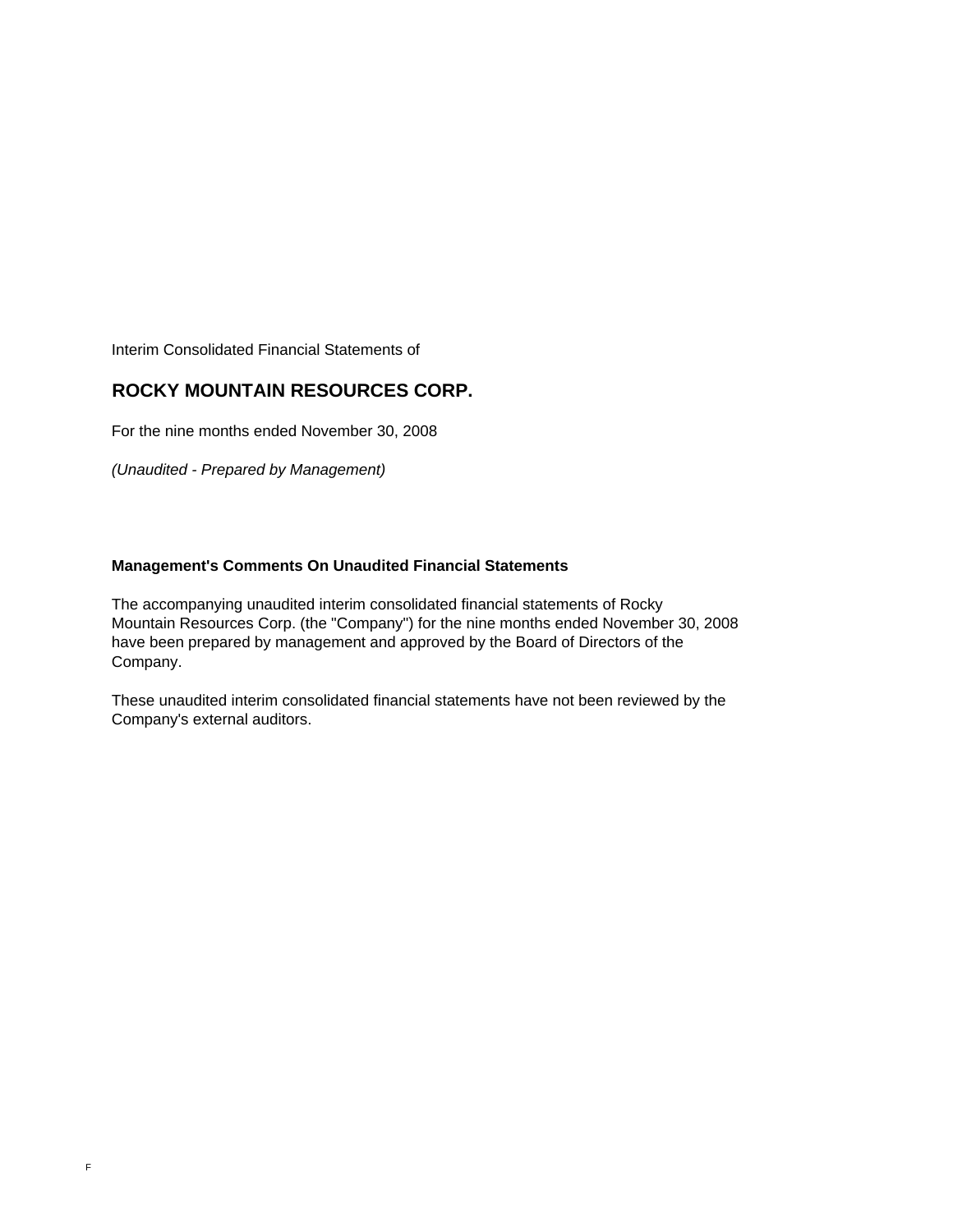Interim Consolidated Financial Statements of

### **ROCKY MOUNTAIN RESOURCES CORP.**

For the nine months ended November 30, 2008

*(Unaudited - Prepared by Management)*

### **Management's Comments On Unaudited Financial Statements**

The accompanying unaudited interim consolidated financial statements of Rocky Mountain Resources Corp. (the "Company") for the nine months ended November 30, 2008 have been prepared by management and approved by the Board of Directors of the Company.

These unaudited interim consolidated financial statements have not been reviewed by the Company's external auditors.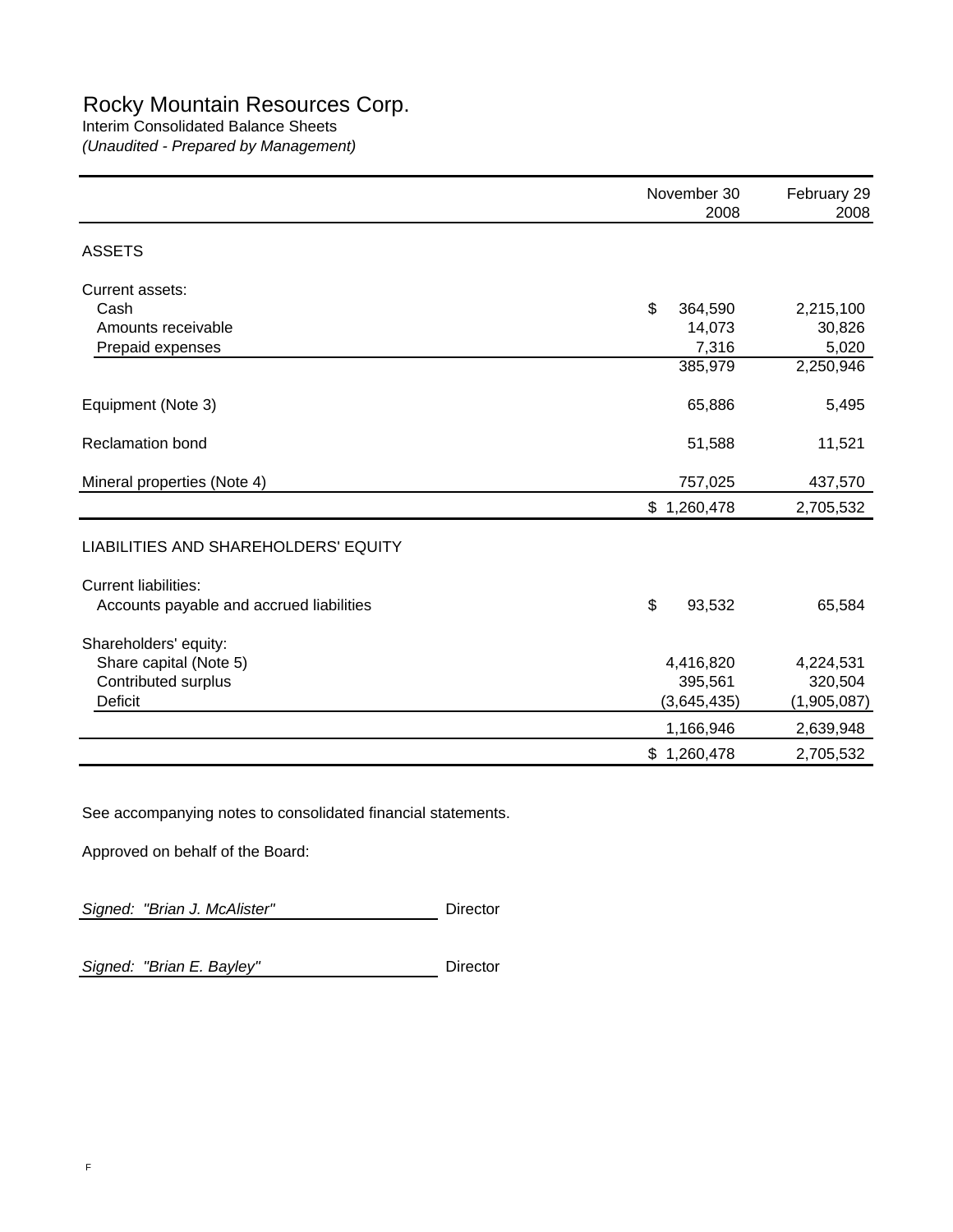# Rocky Mountain Resources Corp.

## Interim Consolidated Balance Sheets

*(Unaudited - Prepared by Management)*

|                                          | November 30<br>2008 | February 29<br>2008 |
|------------------------------------------|---------------------|---------------------|
| <b>ASSETS</b>                            |                     |                     |
| Current assets:                          |                     |                     |
| Cash                                     | \$<br>364,590       | 2,215,100           |
| Amounts receivable                       | 14,073              | 30,826              |
| Prepaid expenses                         | 7,316               | 5,020               |
|                                          | 385,979             | 2,250,946           |
| Equipment (Note 3)                       | 65,886              | 5,495               |
| <b>Reclamation bond</b>                  | 51,588              | 11,521              |
| Mineral properties (Note 4)              | 757,025             | 437,570             |
|                                          | \$1,260,478         | 2,705,532           |
| LIABILITIES AND SHAREHOLDERS' EQUITY     |                     |                     |
| <b>Current liabilities:</b>              |                     |                     |
| Accounts payable and accrued liabilities | \$<br>93,532        | 65,584              |
| Shareholders' equity:                    |                     |                     |
| Share capital (Note 5)                   | 4,416,820           | 4,224,531           |
| Contributed surplus                      | 395,561             | 320,504             |
| <b>Deficit</b>                           | (3,645,435)         | (1,905,087)         |
|                                          | 1,166,946           | 2,639,948           |
|                                          | \$1,260,478         | 2,705,532           |

See accompanying notes to consolidated financial statements.

Approved on behalf of the Board:

Signed: "Brian J. McAlister" Director

Signed: "Brian E. Bayley" **Director**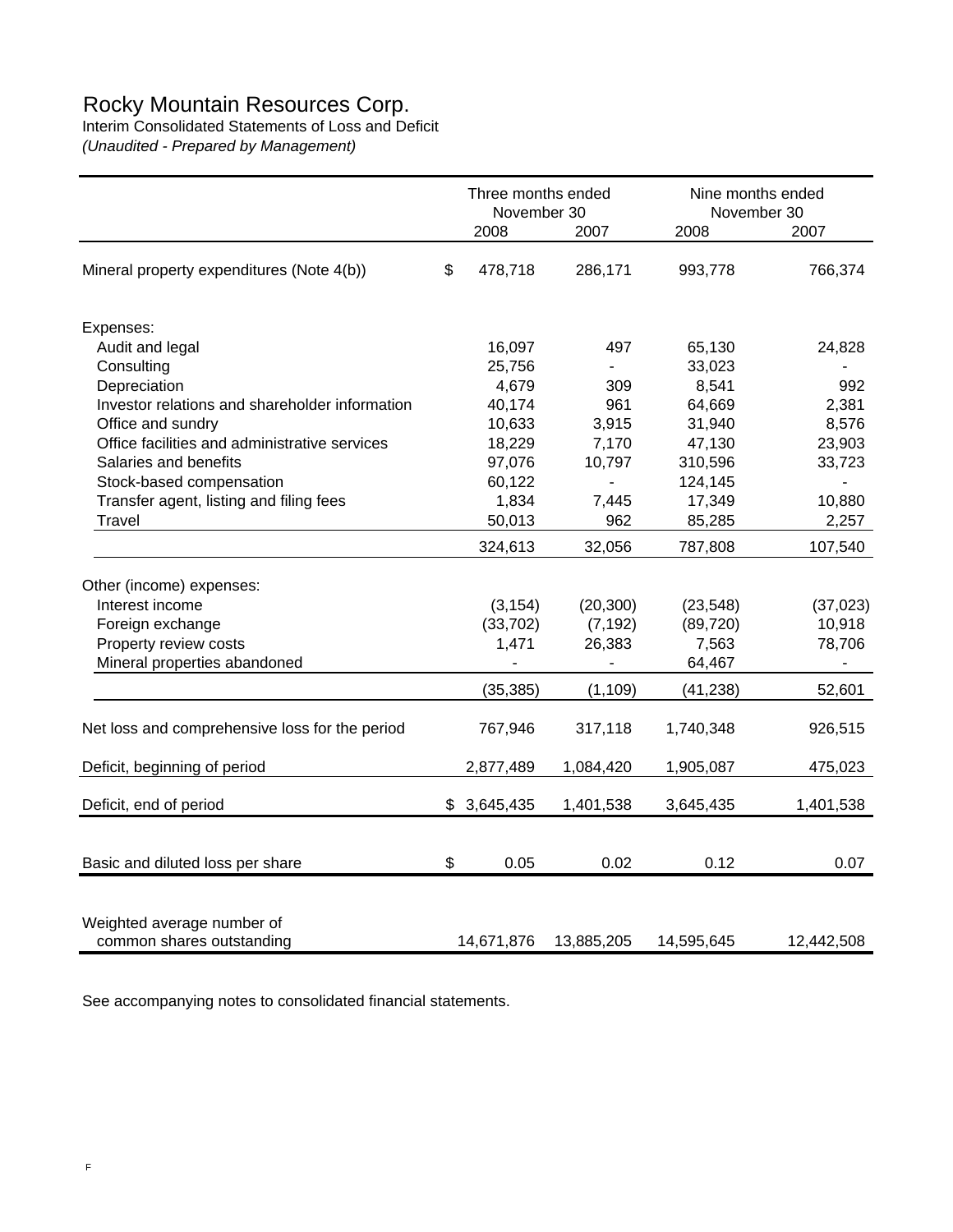## Rocky Mountain Resources Corp.

Interim Consolidated Statements of Loss and Deficit

*(Unaudited - Prepared by Management)*

|                                                         |     | Three months ended<br>November 30 |            | Nine months ended<br>November 30 |            |
|---------------------------------------------------------|-----|-----------------------------------|------------|----------------------------------|------------|
|                                                         |     | 2008                              | 2007       | 2008                             | 2007       |
| Mineral property expenditures (Note 4(b))               | \$  | 478,718                           | 286,171    | 993,778                          | 766,374    |
| Expenses:                                               |     |                                   |            |                                  |            |
| Audit and legal                                         |     | 16,097                            | 497        | 65,130                           | 24,828     |
| Consulting                                              |     | 25,756                            | ÷,         | 33,023                           |            |
| Depreciation                                            |     | 4,679                             | 309        | 8,541                            | 992        |
| Investor relations and shareholder information          |     | 40,174                            | 961        | 64,669                           | 2,381      |
| Office and sundry                                       |     | 10,633                            | 3,915      | 31,940                           | 8,576      |
| Office facilities and administrative services           |     | 18,229                            | 7,170      | 47,130                           | 23,903     |
| Salaries and benefits                                   |     | 97,076                            | 10,797     | 310,596                          | 33,723     |
| Stock-based compensation                                |     | 60,122                            |            | 124,145                          |            |
| Transfer agent, listing and filing fees                 |     | 1,834                             | 7,445      | 17,349                           | 10,880     |
| <b>Travel</b>                                           |     | 50,013                            | 962        | 85,285                           | 2,257      |
|                                                         |     | 324,613                           | 32,056     | 787,808                          | 107,540    |
| Other (income) expenses:                                |     |                                   |            |                                  |            |
| Interest income                                         |     | (3, 154)                          | (20, 300)  | (23, 548)                        | (37, 023)  |
| Foreign exchange                                        |     | (33, 702)                         | (7, 192)   | (89, 720)                        | 10,918     |
| Property review costs                                   |     | 1,471                             | 26,383     | 7,563                            | 78,706     |
| Mineral properties abandoned                            |     |                                   |            | 64,467                           |            |
|                                                         |     | (35, 385)                         | (1, 109)   | (41, 238)                        | 52,601     |
| Net loss and comprehensive loss for the period          |     | 767,946                           | 317,118    | 1,740,348                        | 926,515    |
| Deficit, beginning of period                            |     | 2,877,489                         | 1,084,420  | 1,905,087                        | 475,023    |
| Deficit, end of period                                  | \$. | 3,645,435                         | 1,401,538  | 3,645,435                        | 1,401,538  |
|                                                         |     |                                   |            |                                  |            |
| Basic and diluted loss per share                        | \$  | 0.05                              | 0.02       | 0.12                             | 0.07       |
| Weighted average number of<br>common shares outstanding |     | 14,671,876                        | 13,885,205 | 14,595,645                       | 12,442,508 |

See accompanying notes to consolidated financial statements.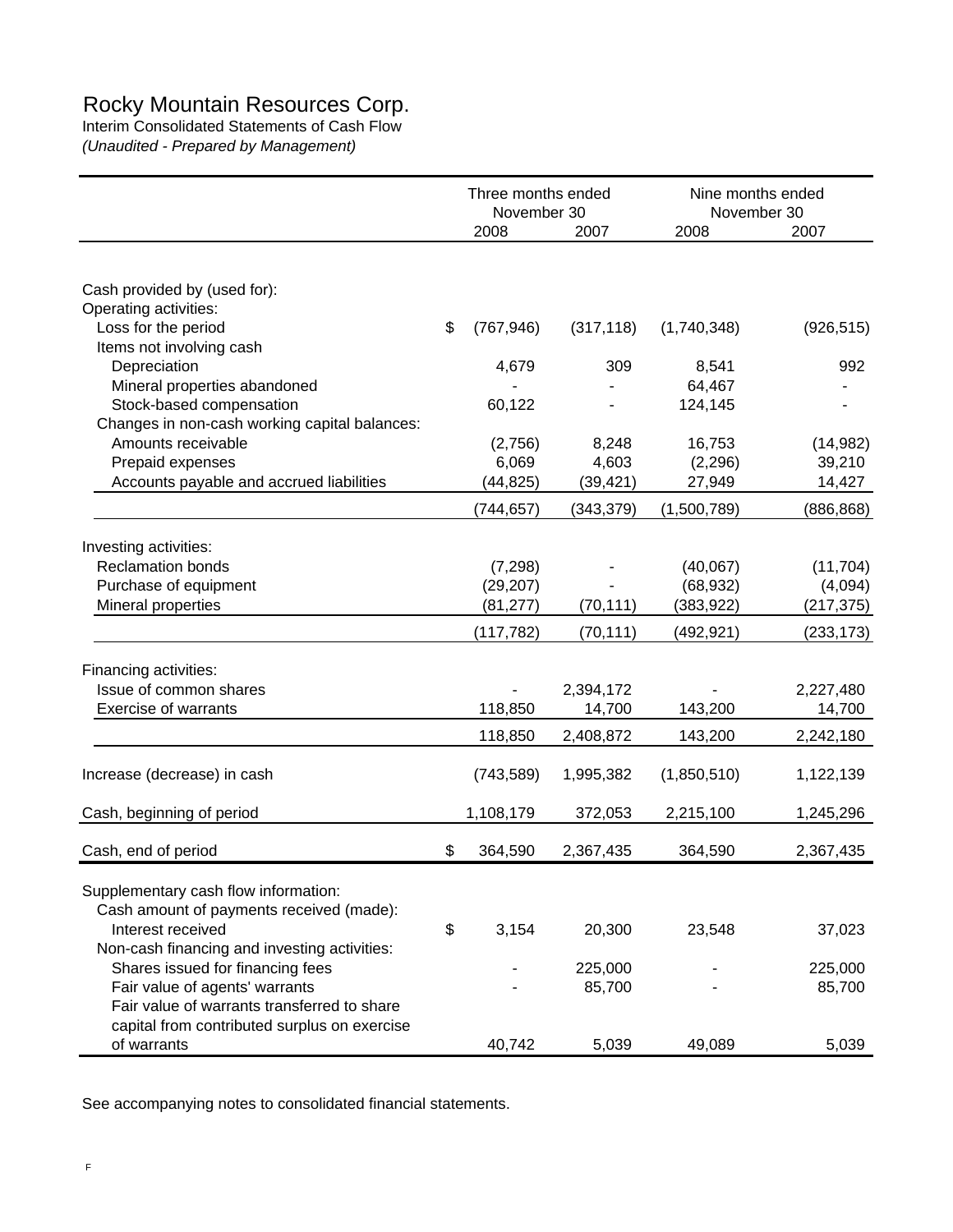## Rocky Mountain Resources Corp.

Interim Consolidated Statements of Cash Flow

*(Unaudited - Prepared by Management)*

|                                                                                  | Three months ended<br>November 30 |            | Nine months ended<br>November 30 |            |
|----------------------------------------------------------------------------------|-----------------------------------|------------|----------------------------------|------------|
|                                                                                  | 2008                              | 2007       | 2008                             | 2007       |
|                                                                                  |                                   |            |                                  |            |
| Cash provided by (used for):                                                     |                                   |            |                                  |            |
| Operating activities:                                                            |                                   |            |                                  |            |
| Loss for the period                                                              | \$<br>(767, 946)                  | (317, 118) | (1,740,348)                      | (926, 515) |
| Items not involving cash                                                         |                                   |            |                                  |            |
| Depreciation                                                                     | 4,679                             | 309        | 8,541                            | 992        |
| Mineral properties abandoned                                                     |                                   |            | 64,467                           |            |
| Stock-based compensation                                                         | 60,122                            |            | 124,145                          |            |
| Changes in non-cash working capital balances:                                    |                                   |            |                                  |            |
| Amounts receivable                                                               | (2,756)                           | 8,248      | 16,753                           | (14, 982)  |
| Prepaid expenses                                                                 | 6,069                             | 4,603      | (2, 296)                         | 39,210     |
| Accounts payable and accrued liabilities                                         | (44, 825)                         | (39, 421)  | 27,949                           | 14,427     |
|                                                                                  | (744,657)                         | (343, 379) | (1,500,789)                      | (886, 868) |
| Investing activities:                                                            |                                   |            |                                  |            |
| <b>Reclamation bonds</b>                                                         | (7, 298)                          |            | (40,067)                         | (11, 704)  |
| Purchase of equipment                                                            | (29, 207)                         |            | (68, 932)                        | (4,094)    |
| Mineral properties                                                               | (81, 277)                         | (70, 111)  | (383, 922)                       | (217, 375) |
|                                                                                  | (117, 782)                        | (70, 111)  | (492, 921)                       | (233, 173) |
|                                                                                  |                                   |            |                                  |            |
| Financing activities:                                                            |                                   |            |                                  |            |
| Issue of common shares                                                           |                                   | 2,394,172  |                                  | 2,227,480  |
| <b>Exercise of warrants</b>                                                      | 118,850                           | 14,700     | 143,200                          | 14,700     |
|                                                                                  | 118,850                           | 2,408,872  | 143,200                          | 2,242,180  |
| Increase (decrease) in cash                                                      | (743, 589)                        | 1,995,382  | (1,850,510)                      | 1,122,139  |
|                                                                                  |                                   |            |                                  |            |
| Cash, beginning of period                                                        | 1,108,179                         | 372,053    | 2,215,100                        | 1,245,296  |
| Cash, end of period                                                              | \$<br>364,590                     | 2,367,435  | 364,590                          | 2,367,435  |
|                                                                                  |                                   |            |                                  |            |
| Supplementary cash flow information:                                             |                                   |            |                                  |            |
| Cash amount of payments received (made):                                         |                                   |            |                                  |            |
| Interest received                                                                | \$<br>3,154                       | 20,300     | 23,548                           | 37,023     |
| Non-cash financing and investing activities:<br>Shares issued for financing fees |                                   | 225,000    |                                  | 225,000    |
| Fair value of agents' warrants                                                   |                                   | 85,700     |                                  | 85,700     |
| Fair value of warrants transferred to share                                      |                                   |            |                                  |            |
| capital from contributed surplus on exercise                                     |                                   |            |                                  |            |
| of warrants                                                                      | 40,742                            | 5,039      | 49,089                           | 5,039      |

See accompanying notes to consolidated financial statements.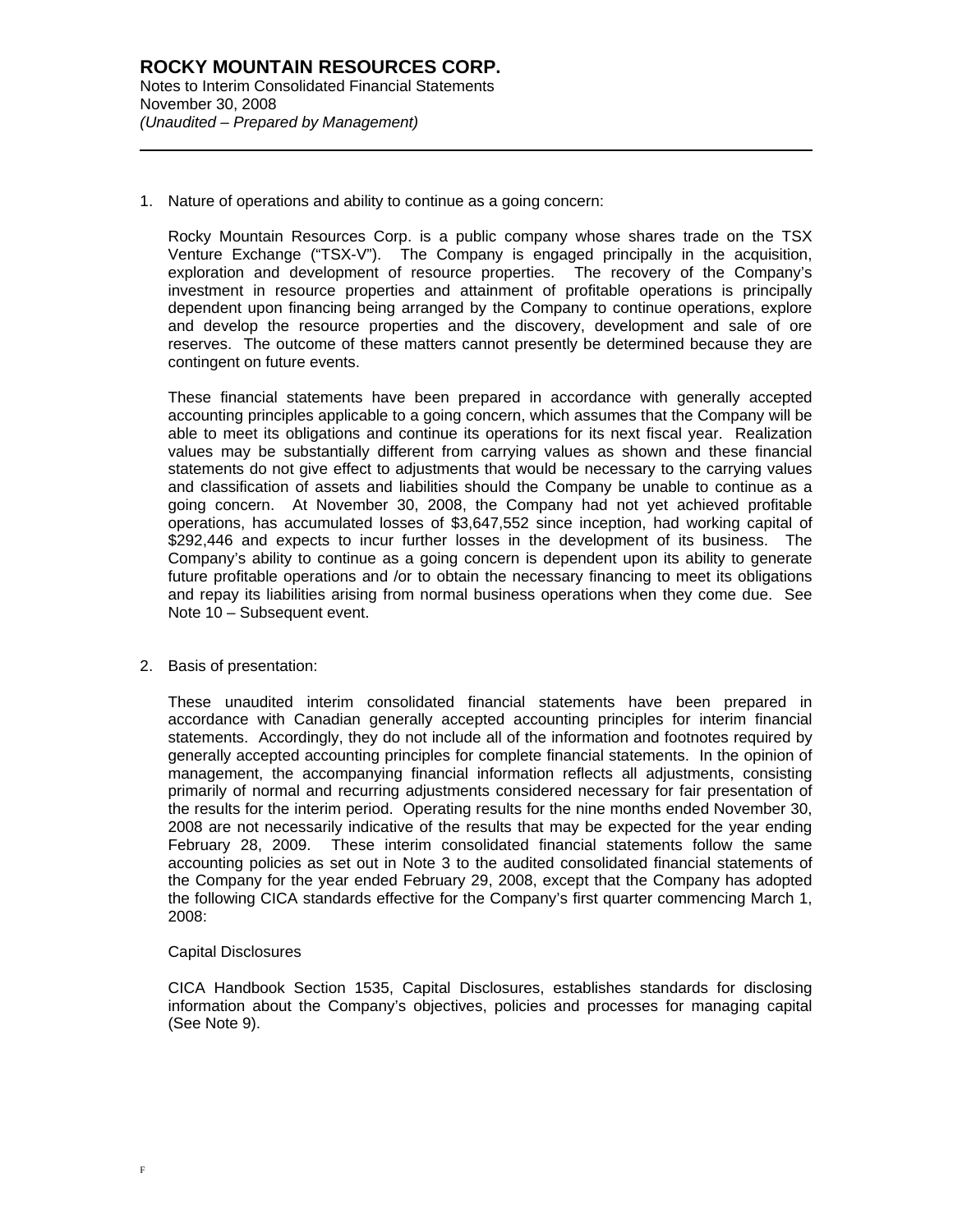l

1. Nature of operations and ability to continue as a going concern:

Rocky Mountain Resources Corp. is a public company whose shares trade on the TSX Venture Exchange ("TSX-V"). The Company is engaged principally in the acquisition, exploration and development of resource properties. The recovery of the Company's investment in resource properties and attainment of profitable operations is principally dependent upon financing being arranged by the Company to continue operations, explore and develop the resource properties and the discovery, development and sale of ore reserves. The outcome of these matters cannot presently be determined because they are contingent on future events.

These financial statements have been prepared in accordance with generally accepted accounting principles applicable to a going concern, which assumes that the Company will be able to meet its obligations and continue its operations for its next fiscal year. Realization values may be substantially different from carrying values as shown and these financial statements do not give effect to adjustments that would be necessary to the carrying values and classification of assets and liabilities should the Company be unable to continue as a going concern. At November 30, 2008, the Company had not yet achieved profitable operations, has accumulated losses of \$3,647,552 since inception, had working capital of \$292,446 and expects to incur further losses in the development of its business. The Company's ability to continue as a going concern is dependent upon its ability to generate future profitable operations and /or to obtain the necessary financing to meet its obligations and repay its liabilities arising from normal business operations when they come due. See Note 10 – Subsequent event.

#### 2. Basis of presentation:

These unaudited interim consolidated financial statements have been prepared in accordance with Canadian generally accepted accounting principles for interim financial statements. Accordingly, they do not include all of the information and footnotes required by generally accepted accounting principles for complete financial statements. In the opinion of management, the accompanying financial information reflects all adjustments, consisting primarily of normal and recurring adjustments considered necessary for fair presentation of the results for the interim period. Operating results for the nine months ended November 30, 2008 are not necessarily indicative of the results that may be expected for the year ending February 28, 2009. These interim consolidated financial statements follow the same accounting policies as set out in Note 3 to the audited consolidated financial statements of the Company for the year ended February 29, 2008, except that the Company has adopted the following CICA standards effective for the Company's first quarter commencing March 1, 2008:

#### Capital Disclosures

CICA Handbook Section 1535, Capital Disclosures, establishes standards for disclosing information about the Company's objectives, policies and processes for managing capital (See Note 9).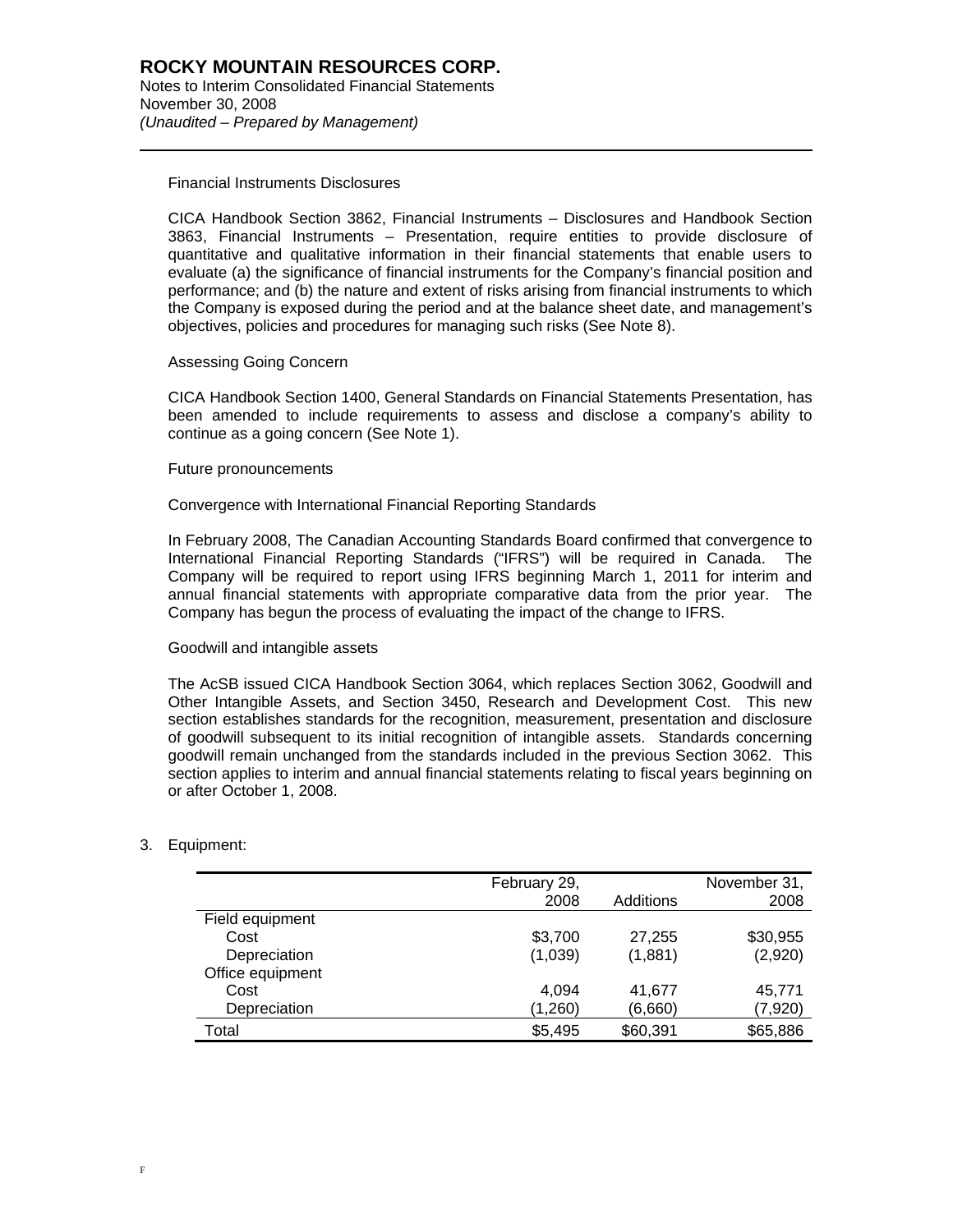Financial Instruments Disclosures

l

CICA Handbook Section 3862, Financial Instruments – Disclosures and Handbook Section 3863, Financial Instruments – Presentation, require entities to provide disclosure of quantitative and qualitative information in their financial statements that enable users to evaluate (a) the significance of financial instruments for the Company's financial position and performance; and (b) the nature and extent of risks arising from financial instruments to which the Company is exposed during the period and at the balance sheet date, and management's objectives, policies and procedures for managing such risks (See Note 8).

#### Assessing Going Concern

CICA Handbook Section 1400, General Standards on Financial Statements Presentation, has been amended to include requirements to assess and disclose a company's ability to continue as a going concern (See Note 1).

#### Future pronouncements

Convergence with International Financial Reporting Standards

In February 2008, The Canadian Accounting Standards Board confirmed that convergence to International Financial Reporting Standards ("IFRS") will be required in Canada. The Company will be required to report using IFRS beginning March 1, 2011 for interim and annual financial statements with appropriate comparative data from the prior year. The Company has begun the process of evaluating the impact of the change to IFRS.

#### Goodwill and intangible assets

The AcSB issued CICA Handbook Section 3064, which replaces Section 3062, Goodwill and Other Intangible Assets, and Section 3450, Research and Development Cost. This new section establishes standards for the recognition, measurement, presentation and disclosure of goodwill subsequent to its initial recognition of intangible assets. Standards concerning goodwill remain unchanged from the standards included in the previous Section 3062. This section applies to interim and annual financial statements relating to fiscal years beginning on or after October 1, 2008.

#### 3. Equipment:

|                  | February 29,<br>2008 | Additions | November 31,<br>2008 |
|------------------|----------------------|-----------|----------------------|
| Field equipment  |                      |           |                      |
| Cost             | \$3,700              | 27,255    | \$30,955             |
| Depreciation     | (1,039)              | (1,881)   | (2,920)              |
| Office equipment |                      |           |                      |
| Cost             | 4.094                | 41.677    | 45.771               |
| Depreciation     | (1,260)              | (6,660)   | (7,920)              |
| Total            | \$5,495              | \$60,391  | \$65,886             |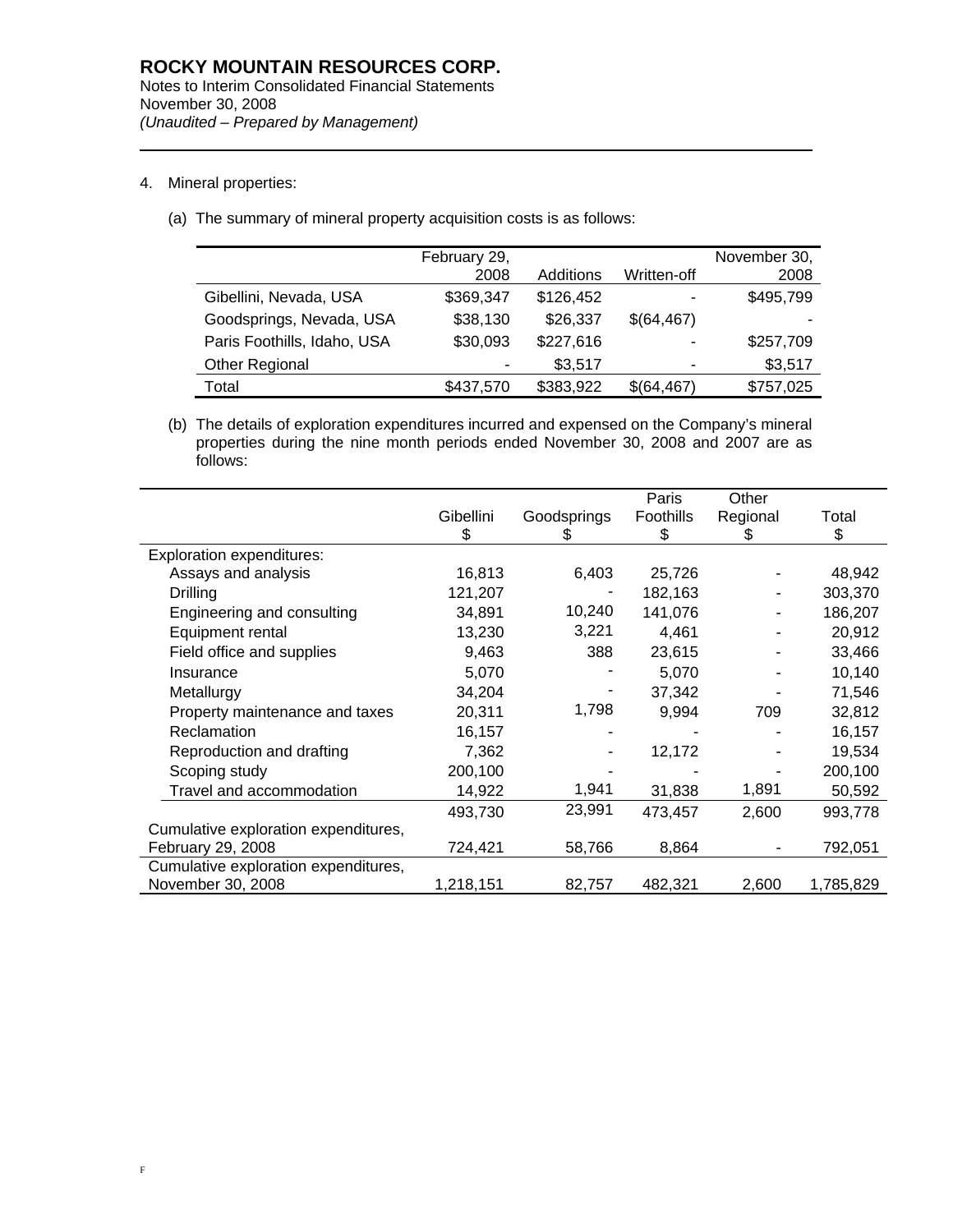4. Mineral properties:

l

(a) The summary of mineral property acquisition costs is as follows:

|                             | February 29, |           |             | November 30, |
|-----------------------------|--------------|-----------|-------------|--------------|
|                             | 2008         | Additions | Written-off | 2008         |
| Gibellini, Nevada, USA      | \$369,347    | \$126,452 |             | \$495,799    |
| Goodsprings, Nevada, USA    | \$38,130     | \$26,337  | \$(64,467)  |              |
| Paris Foothills, Idaho, USA | \$30,093     | \$227,616 |             | \$257,709    |
| Other Regional              | ۰            | \$3,517   |             | \$3,517      |
| Total                       | \$437,570    | \$383,922 | \$(64,467)  | \$757,025    |
|                             |              |           |             |              |

(b) The details of exploration expenditures incurred and expensed on the Company's mineral properties during the nine month periods ended November 30, 2008 and 2007 are as follows:

|                                      |           |             | Paris     | Other    |           |
|--------------------------------------|-----------|-------------|-----------|----------|-----------|
|                                      | Gibellini | Goodsprings | Foothills | Regional | Total     |
|                                      | \$        | S           | \$        | S        | \$        |
| <b>Exploration expenditures:</b>     |           |             |           |          |           |
| Assays and analysis                  | 16,813    | 6,403       | 25,726    |          | 48,942    |
| Drilling                             | 121,207   |             | 182,163   |          | 303,370   |
| Engineering and consulting           | 34,891    | 10,240      | 141,076   |          | 186,207   |
| Equipment rental                     | 13,230    | 3,221       | 4,461     |          | 20,912    |
| Field office and supplies            | 9,463     | 388         | 23,615    |          | 33,466    |
| Insurance                            | 5,070     |             | 5,070     |          | 10,140    |
| Metallurgy                           | 34,204    |             | 37,342    |          | 71,546    |
| Property maintenance and taxes       | 20,311    | 1,798       | 9,994     | 709      | 32,812    |
| Reclamation                          | 16,157    |             |           |          | 16,157    |
| Reproduction and drafting            | 7,362     |             | 12,172    |          | 19,534    |
| Scoping study                        | 200,100   |             |           |          | 200,100   |
| Travel and accommodation             | 14,922    | 1,941       | 31,838    | 1,891    | 50,592    |
|                                      | 493,730   | 23,991      | 473,457   | 2,600    | 993,778   |
| Cumulative exploration expenditures, |           |             |           |          |           |
| February 29, 2008                    | 724,421   | 58,766      | 8,864     |          | 792,051   |
| Cumulative exploration expenditures, |           |             |           |          |           |
| November 30, 2008                    | 1,218,151 | 82,757      | 482,321   | 2,600    | 1,785,829 |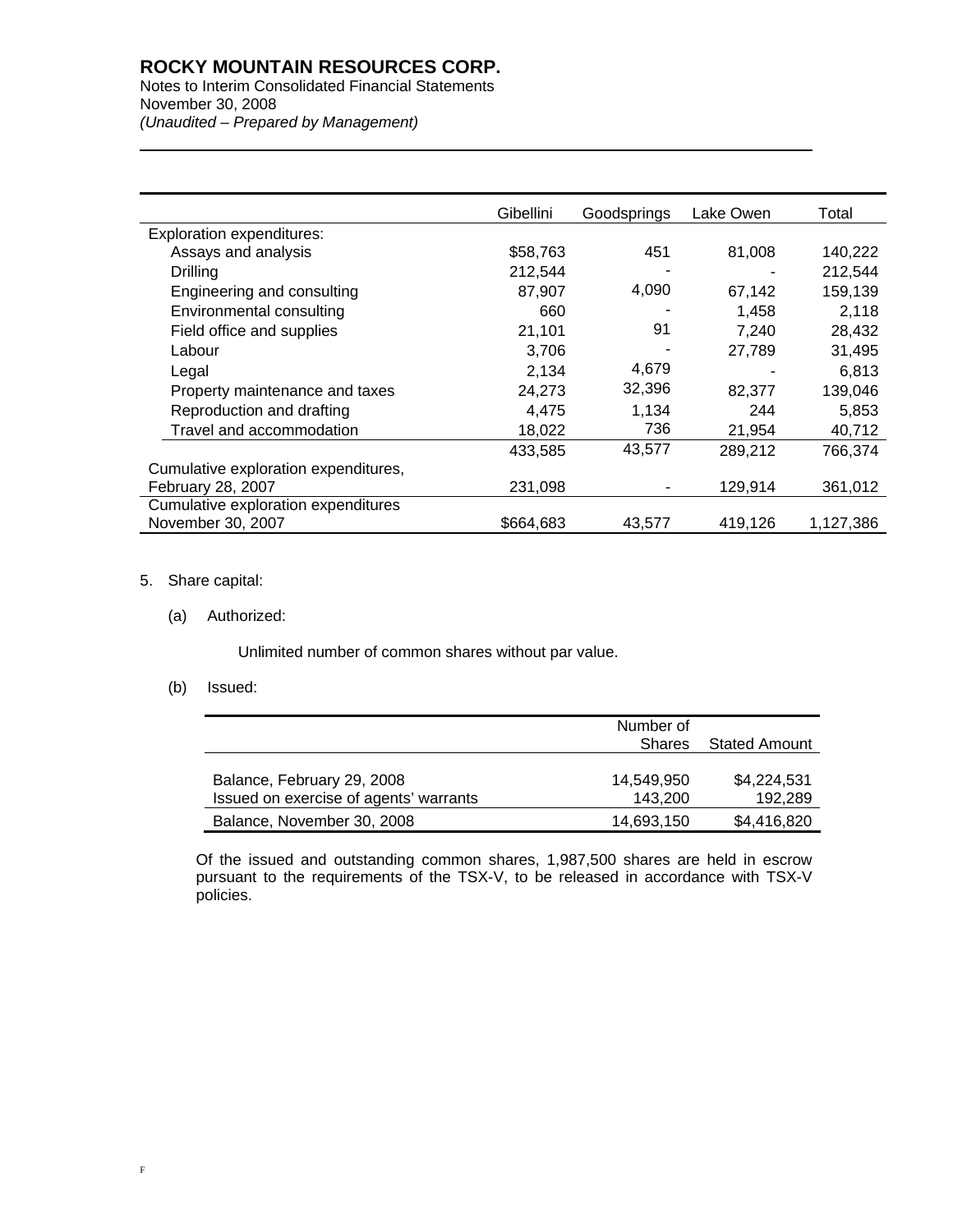## **ROCKY MOUNTAIN RESOURCES CORP.**

Notes to Interim Consolidated Financial Statements November 30, 2008 *(Unaudited – Prepared by Management)* 

|                                      | Gibellini | Goodsprings | Lake Owen | Total     |
|--------------------------------------|-----------|-------------|-----------|-----------|
| <b>Exploration expenditures:</b>     |           |             |           |           |
| Assays and analysis                  | \$58,763  | 451         | 81,008    | 140,222   |
| Drilling                             | 212,544   |             |           | 212,544   |
| Engineering and consulting           | 87,907    | 4,090       | 67,142    | 159,139   |
| Environmental consulting             | 660       |             | 1,458     | 2,118     |
| Field office and supplies            | 21,101    | 91          | 7,240     | 28,432    |
| Labour                               | 3,706     |             | 27,789    | 31,495    |
| Legal                                | 2,134     | 4,679       |           | 6,813     |
| Property maintenance and taxes       | 24,273    | 32,396      | 82,377    | 139,046   |
| Reproduction and drafting            | 4,475     | 1,134       | 244       | 5,853     |
| Travel and accommodation             | 18,022    | 736         | 21,954    | 40,712    |
|                                      | 433,585   | 43,577      | 289,212   | 766,374   |
| Cumulative exploration expenditures, |           |             |           |           |
| February 28, 2007                    | 231,098   |             | 129,914   | 361,012   |
| Cumulative exploration expenditures  |           |             |           |           |
| November 30, 2007                    | \$664.683 | 43.577      | 419,126   | 1,127,386 |

#### 5. Share capital:

l

(a) Authorized:

Unlimited number of common shares without par value.

#### (b) Issued:

|                                                                      | Number of<br><b>Shares</b> | <b>Stated Amount</b>   |
|----------------------------------------------------------------------|----------------------------|------------------------|
| Balance, February 29, 2008<br>Issued on exercise of agents' warrants | 14.549.950<br>143.200      | \$4,224,531<br>192,289 |
| Balance, November 30, 2008                                           | 14,693,150                 | \$4,416,820            |

Of the issued and outstanding common shares, 1,987,500 shares are held in escrow pursuant to the requirements of the TSX-V, to be released in accordance with TSX-V policies.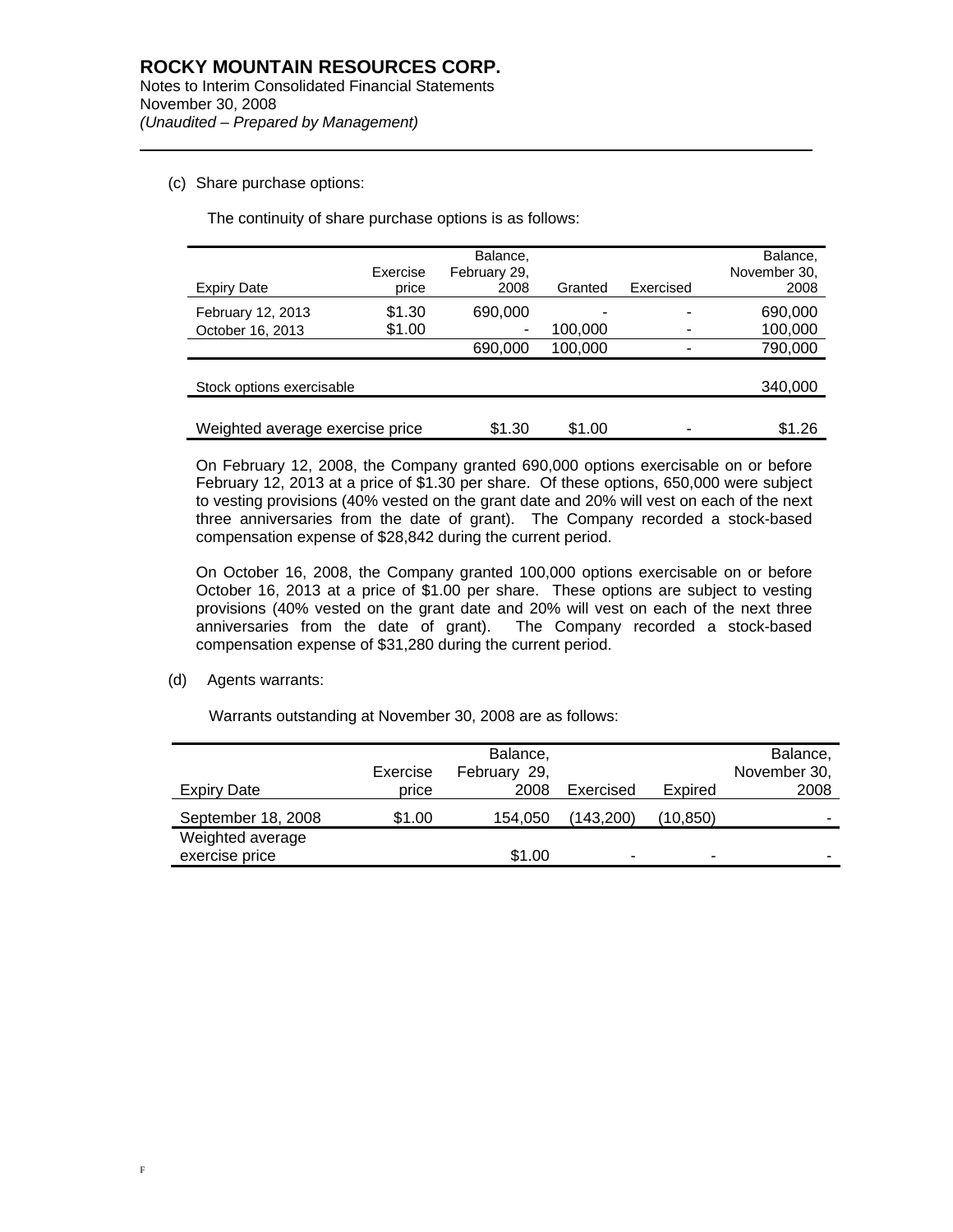(c) Share purchase options:

l

The continuity of share purchase options is as follows:

|                                 | Exercise | Balance,<br>February 29, |         |           | Balance.<br>November 30, |
|---------------------------------|----------|--------------------------|---------|-----------|--------------------------|
| <b>Expiry Date</b>              | price    | 2008                     | Granted | Exercised | 2008                     |
| February 12, 2013               | \$1.30   | 690,000                  |         |           | 690,000                  |
| October 16, 2013                | \$1.00   | -                        | 100,000 |           | 100,000                  |
|                                 |          | 690,000                  | 100,000 |           | 790,000                  |
|                                 |          |                          |         |           |                          |
| Stock options exercisable       |          |                          |         |           | 340,000                  |
|                                 |          |                          |         |           |                          |
| Weighted average exercise price |          | \$1.30                   | \$1.00  |           | \$1.26                   |

On February 12, 2008, the Company granted 690,000 options exercisable on or before February 12, 2013 at a price of \$1.30 per share. Of these options, 650,000 were subject to vesting provisions (40% vested on the grant date and 20% will vest on each of the next three anniversaries from the date of grant). The Company recorded a stock-based compensation expense of \$28,842 during the current period.

On October 16, 2008, the Company granted 100,000 options exercisable on or before October 16, 2013 at a price of \$1.00 per share. These options are subject to vesting provisions (40% vested on the grant date and 20% will vest on each of the next three anniversaries from the date of grant). The Company recorded a stock-based compensation expense of \$31,280 during the current period.

(d) Agents warrants:

Warrants outstanding at November 30, 2008 are as follows:

|                    | Exercise | Balance,<br>February 29, |                |          | Balance,<br>November 30, |
|--------------------|----------|--------------------------|----------------|----------|--------------------------|
| <b>Expiry Date</b> | price    | 2008                     | Exercised      | Expired  | 2008                     |
| September 18, 2008 | \$1.00   | 154,050                  | (143.200)      | (10,850) | -                        |
| Weighted average   |          |                          |                |          |                          |
| exercise price     |          | \$1.00                   | $\blacksquare$ | ۰        | -                        |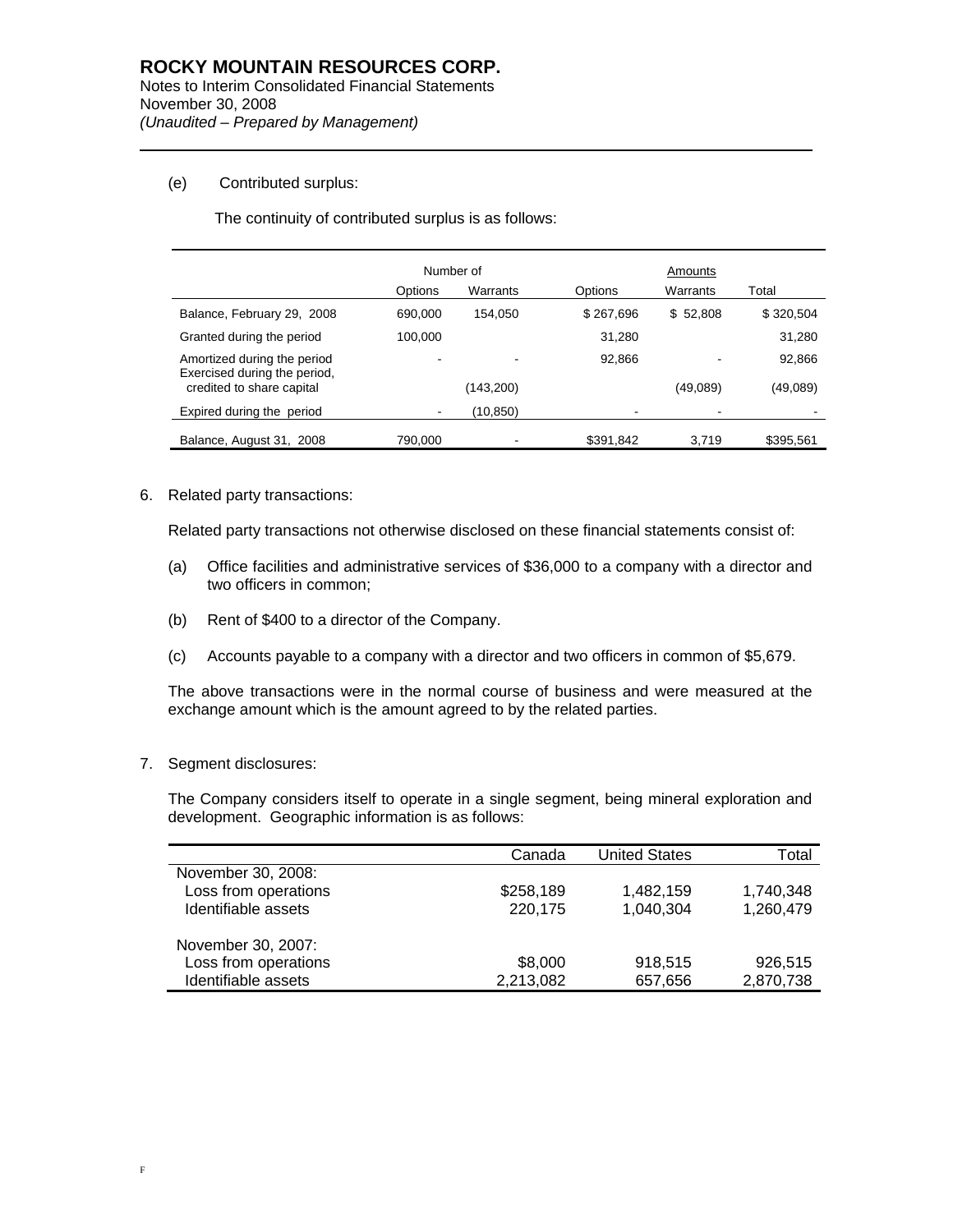#### (e) Contributed surplus:

l

The continuity of contributed surplus is as follows:

|                                                             | Number of |           |           | Amounts  |           |
|-------------------------------------------------------------|-----------|-----------|-----------|----------|-----------|
|                                                             | Options   | Warrants  | Options   | Warrants | Total     |
| Balance, February 29, 2008                                  | 690,000   | 154.050   | \$267,696 | \$52,808 | \$320.504 |
| Granted during the period                                   | 100.000   |           | 31,280    |          | 31,280    |
| Amortized during the period<br>Exercised during the period, |           |           | 92.866    |          | 92,866    |
| credited to share capital                                   |           | (143,200) |           | (49,089) | (49,089)  |
| Expired during the period                                   |           | (10,850)  |           |          |           |
| Balance, August 31, 2008                                    | 790.000   |           | \$391,842 | 3.719    | \$395,561 |

6. Related party transactions:

Related party transactions not otherwise disclosed on these financial statements consist of:

- (a) Office facilities and administrative services of \$36,000 to a company with a director and two officers in common;
- (b) Rent of \$400 to a director of the Company.
- (c) Accounts payable to a company with a director and two officers in common of \$5,679.

The above transactions were in the normal course of business and were measured at the exchange amount which is the amount agreed to by the related parties.

#### 7. Segment disclosures:

The Company considers itself to operate in a single segment, being mineral exploration and development. Geographic information is as follows:

|                      | Canada    | <b>United States</b> | Total     |
|----------------------|-----------|----------------------|-----------|
|                      |           |                      |           |
| November 30, 2008:   |           |                      |           |
| Loss from operations | \$258,189 | 1.482.159            | 1,740,348 |
| Identifiable assets  | 220,175   | 1,040,304            | 1,260,479 |
| November 30, 2007:   |           |                      |           |
| Loss from operations | \$8,000   | 918,515              | 926,515   |
| Identifiable assets  | 2,213,082 | 657,656              | 2,870,738 |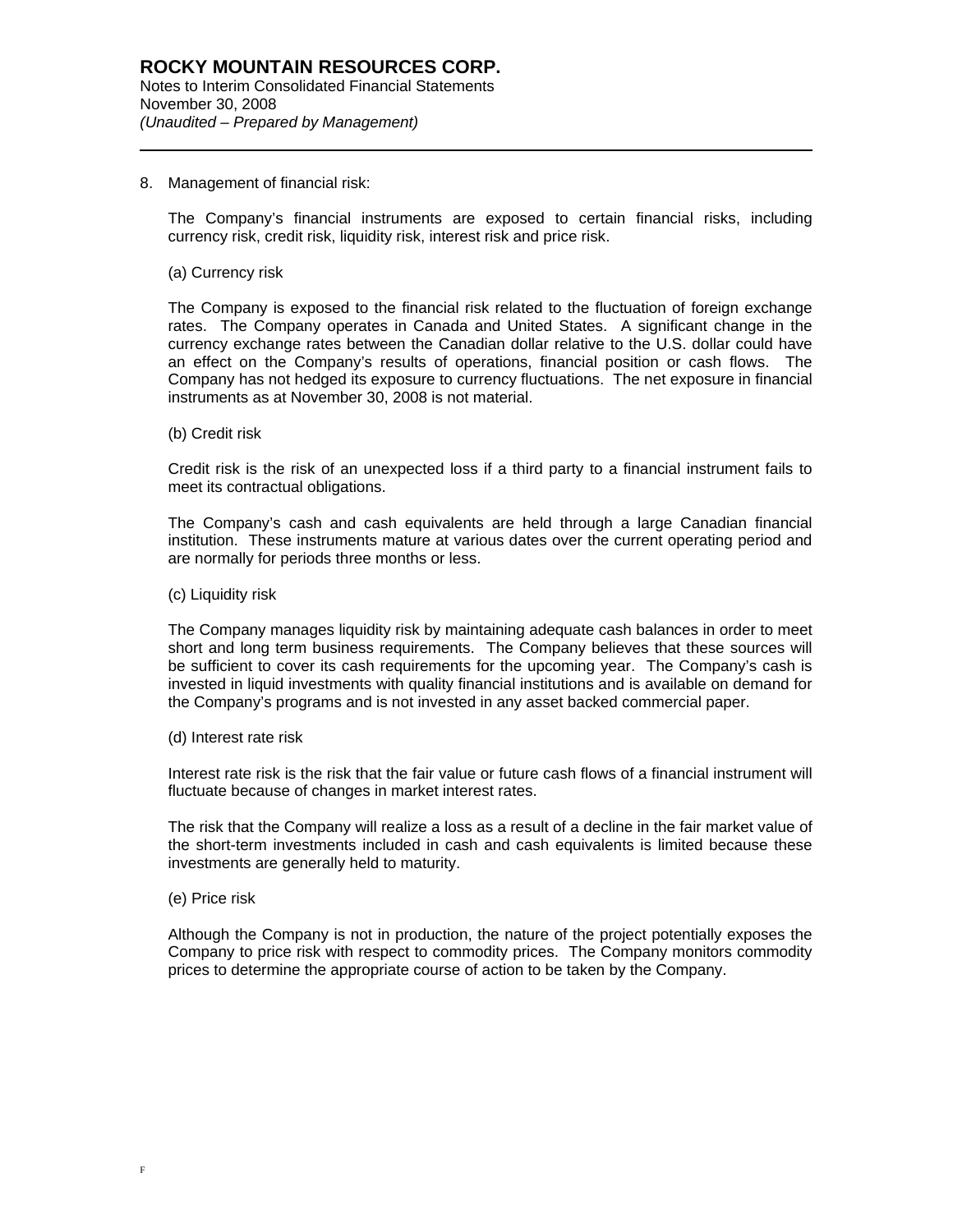#### 8. Management of financial risk:

The Company's financial instruments are exposed to certain financial risks, including currency risk, credit risk, liquidity risk, interest risk and price risk.

#### (a) Currency risk

l

The Company is exposed to the financial risk related to the fluctuation of foreign exchange rates. The Company operates in Canada and United States. A significant change in the currency exchange rates between the Canadian dollar relative to the U.S. dollar could have an effect on the Company's results of operations, financial position or cash flows. The Company has not hedged its exposure to currency fluctuations. The net exposure in financial instruments as at November 30, 2008 is not material.

(b) Credit risk

Credit risk is the risk of an unexpected loss if a third party to a financial instrument fails to meet its contractual obligations.

The Company's cash and cash equivalents are held through a large Canadian financial institution. These instruments mature at various dates over the current operating period and are normally for periods three months or less.

(c) Liquidity risk

The Company manages liquidity risk by maintaining adequate cash balances in order to meet short and long term business requirements. The Company believes that these sources will be sufficient to cover its cash requirements for the upcoming year. The Company's cash is invested in liquid investments with quality financial institutions and is available on demand for the Company's programs and is not invested in any asset backed commercial paper.

(d) Interest rate risk

Interest rate risk is the risk that the fair value or future cash flows of a financial instrument will fluctuate because of changes in market interest rates.

The risk that the Company will realize a loss as a result of a decline in the fair market value of the short-term investments included in cash and cash equivalents is limited because these investments are generally held to maturity.

(e) Price risk

Although the Company is not in production, the nature of the project potentially exposes the Company to price risk with respect to commodity prices. The Company monitors commodity prices to determine the appropriate course of action to be taken by the Company.